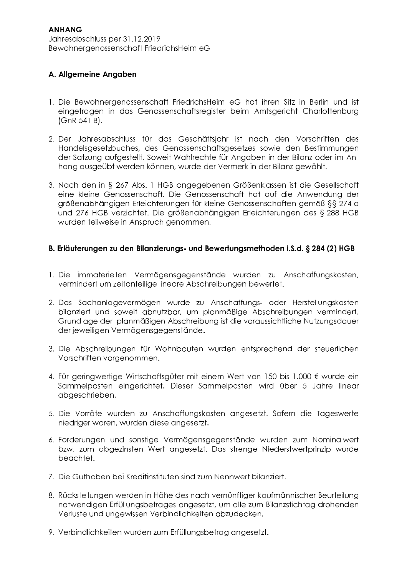# A. Allgemeine Angaben

- 1. Die Bewohnergenossenschaft FriedrichsHeim eG hat ihren Sitz in Berlin und ist eingetragen in das Genossenschaftsregister beim Amtsgericht Charlottenburg  $(GnR 541 B).$
- 2. Der Jahresabschluss für das Geschäftsjahr ist nach den Vorschriften des Handelsgesetzbuches, des Genossenschaftsgesetzes sowie den Bestimmungen der Satzung aufgestellt. Soweit Wahlrechte für Angaben in der Bilanz oder im Anhang ausgeübt werden können, wurde der Vermerk in der Bilanz gewählt.
- 3. Nach den in § 267 Abs. 1 HGB angegebenen Größenklassen ist die Gesellschaft eine kleine Genossenschaft. Die Genossenschaft hat auf die Anwendung der arößenabhängigen Erleichterungen für kleine Genossenschaften gemäß §§ 274 g und 276 HGB verzichtet. Die größenabhängigen Erleichterungen des § 288 HGB wurden teilweise in Anspruch genommen.

## B. Erläuterungen zu den Bilanzierungs- und Bewertungsmethoden i.S.d. § 284 (2) HGB

- 1. Die immateriellen Vermögensgegenstände wurden zu Anschaffungskosten, vermindert um zeitanteilige lineare Abschreibungen bewertet.
- 2. Das Sachanlagevermögen wurde zu Anschaffungs- oder Herstellungskosten bilanziert und soweit abnutzbar, um planmäßige Abschreibungen vermindert. Grundlage der planmäßigen Abschreibung ist die voraussichtliche Nutzungsdauer der jeweiligen Vermögensgegenstände.
- 3. Die Abschreibungen für Wohnbauten wurden entsprechend der steuerlichen Vorschriften vorgenommen.
- 4. Für geringwertige Wirtschaftsgüter mit einem Wert von 150 bis 1.000 € wurde ein Sammelposten eingerichtet. Dieser Sammelposten wird über 5 Jahre linear abgeschrieben.
- 5. Die Vorräte wurden zu Anschaffungskosten angesetzt. Sofem die Tageswerte niedriger waren, wurden diese angesetzt.
- 6. Forderungen und sonstige Vermögensgegenstände wurden zum Nominalwert bzw. zum abgezinsten Wert angesetzt. Das strenge Niederstwertprinzip wurde beachtet.
- 7. Die Guthaben bei Kreditinstituten sind zum Nennwert bilanziert.
- 8. Rückstellungen werden in Höhe des nach vernünftiger kaufmännischer Beurteilung notwendigen Erfüllungsbetrages angesetzt, um alle zum Bilanzstichtag drohenden Verluste und ungewissen Verbindlichkeiten abzudecken.
- 9. Verbindlichkeiten wurden zum Erfüllungsbetrag angesetzt.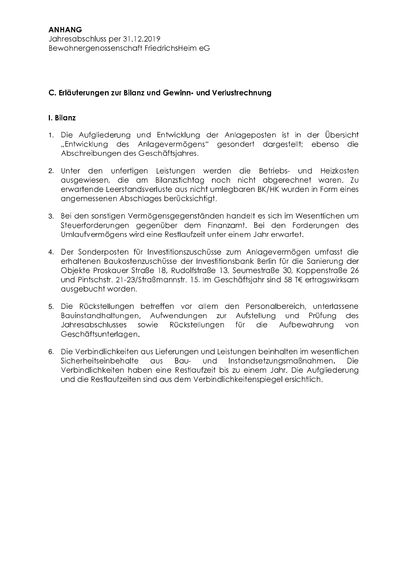### C. Erläuterungen zur Bilanz und Gewinn- und Verlustrechnung

#### **I** Bilanz

- 1. Die Aufgliederung und Entwicklung der Anlageposten ist in der Übersicht "Entwicklung des Anlagevermögens" gesondert dargestellt; ebenso die Abschreibungen des Geschäftsjahres.
- 2. Unter den unfertigen Leistungen werden die Betriebs- und Heizkosten ausgewiesen, die am Bilanzstichtag noch nicht abgerechnet waren. Zu erwartende Leerstandsverluste aus nicht umlegbaren BK/HK wurden in Form eines angemessenen Abschlages berücksichtigt.
- 3. Bei den sonstigen Vermögensgegenständen handelt es sich im Wesentlichen um Steuerforderungen gegenüber dem Finanzamt. Bei den Forderungen des Umlaufvermögens wird eine Restlaufzeit unter einem Jahr erwartet.
- 4. Der Sonderposten für Investitionszuschüsse zum Anlagevermögen umfasst die erhaltenen Baukostenzuschüsse der Investitionsbank Berlin für die Sanierung der Objekte Proskauer Straße 18, Rudolfstraße 13, Seumestraße 30, Koppenstraße 26 und Pintschstr. 21-23/Straßmannstr. 15. Im Geschäftsjahr sind 58 T€ ertragswirksam ausgebucht worden.
- 5. Die Rückstellungen betreffen vor allem den Personalbereich, unterlassene Bauinstandhaltungen, Aufwendungen zur Aufstellung und Prüfung des **Jahresabschlusses** sowie Rückstellunaen für die Aufbewahruna von Geschäftsunterlagen.
- 6. Die Verbindlichkeiten aus Lieferungen und Leistungen beinhalten im wesentlichen Sicherheitseinbehalte aus Bau- und Instandsetzungsmaßnahmen. Die Verbindlichkeiten haben eine Restlaufzeit bis zu einem Jahr. Die Aufgliederung und die Restlaufzeiten sind aus dem Verbindlichkeitenspiegel ersichtlich.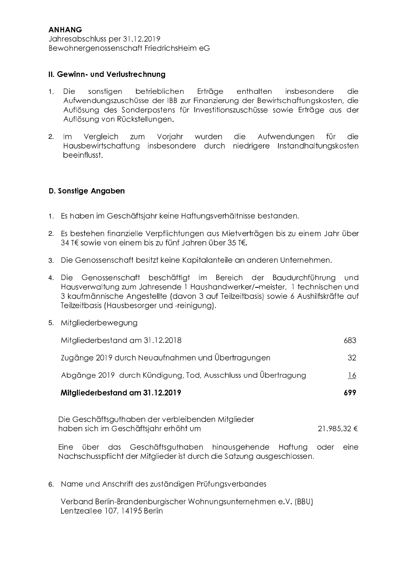### II. Gewinn- und Verlustrechnung

- sonstigen betrieblichen Erträge enthalten insbesondere  $1.$ Die die Aufwendungszuschüsse der IBB zur Finanzierung der Bewirtschaftungskosten, die Auflösung des Sonderpostens für Investitionszuschüsse sowie Erträge aus der Auflösung von Rückstellungen.
- Voriahr wurden  $2.$  $Im$ Vergleich zum die Aufwendungen für die Hausbewirtschaftung insbesondere durch niedrigere Instandhaltungskosten beeinflusst.

### D. Sonstige Angaben

- 1. Es haben im Geschäftsjahr keine Haftungsverhältnisse bestanden.
- 2. Es bestehen finanzielle Verpflichtungen aus Mietverträgen bis zu einem Jahr über 34 T€ sowie von einem bis zu fünf Jahren über 35 T€.
- 3. Die Genossenschaft besitzt keine Kapitalanteile an anderen Unternehmen.
- 4. Die Genossenschaft beschäftigt im Bereich der Baudurchführung und Hausverwaltung zum Jahresende 1 Haushandwerker/-meister, 1 technischen und 3 kaufmännische Angestellte (davon 3 auf Teilzeitbasis) sowie 6 Aushilfskräfte auf Teilzeitbasis (Hausbesorger und -reinigung).

| 5. | Mitgliederbewegung |
|----|--------------------|
|    |                    |

| Mitgliederbestand am 31.12.2018                                                                            | 683          |  |  |  |  |  |
|------------------------------------------------------------------------------------------------------------|--------------|--|--|--|--|--|
| Zugänge 2019 durch Neuaufnahmen und Übertragungen                                                          | 32           |  |  |  |  |  |
| Abgänge 2019 durch Kündigung, Tod, Ausschluss und Übertragung                                              | 16           |  |  |  |  |  |
| Mitgliederbestand am 31.12.2019                                                                            | 699          |  |  |  |  |  |
| Die Geschäftsguthaben der verbleibenden Mitglieder<br>21.985,32 €<br>haben sich im Geschäftsjahr erhöht um |              |  |  |  |  |  |
| Eine<br>Geschäftsguthaben<br>hinausgehende<br>Haftung<br>das<br>über                                       | oder<br>eine |  |  |  |  |  |

Nachschusspflicht der Mitalieder ist durch die Satzung ausgeschlossen.

6. Name und Anschrift des zuständigen Prüfungsverbandes

Verband Berlin-Brandenburgischer Wohnungsunternehmen e.V. (BBU) Lentzeallee 107, 14195 Berlin